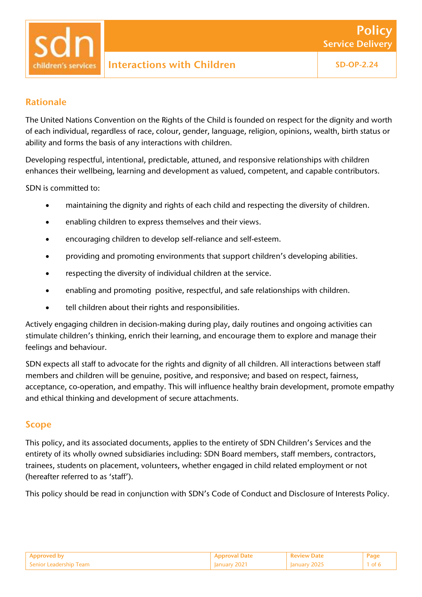### Rationale

The United Nations Convention on the Rights of the Child is founded on respect for the dignity and worth of each individual, regardless of race, colour, gender, language, religion, opinions, wealth, birth status or ability and forms the basis of any interactions with children.

Developing respectful, intentional, predictable, attuned, and responsive relationships with children enhances their wellbeing, learning and development as valued, competent, and capable contributors.

SDN is committed to:

- maintaining the dignity and rights of each child and respecting the diversity of children.
- enabling children to express themselves and their views.
- encouraging children to develop self-reliance and self-esteem.
- providing and promoting environments that support children's developing abilities.
- respecting the diversity of individual children at the service.
- enabling and promoting positive, respectful, and safe relationships with children.
- tell children about their rights and responsibilities.

Actively engaging children in decision-making during play, daily routines and ongoing activities can stimulate children's thinking, enrich their learning, and encourage them to explore and manage their feelings and behaviour.

SDN expects all staff to advocate for the rights and dignity of all children. All interactions between staff members and children will be genuine, positive, and responsive; and based on respect, fairness, acceptance, co-operation, and empathy. This will influence healthy brain development, promote empathy and ethical thinking and development of secure attachments.

### Scope

This policy, and its associated documents, applies to the entirety of SDN Children's Services and the entirety of its wholly owned subsidiaries including: SDN Board members, staff members, contractors, trainees, students on placement, volunteers, whether engaged in child related employment or not (hereafter referred to as 'staff').

This policy should be read in conjunction with SDN's Code of Conduct and Disclosure of Interests Policy.

|               |          | $\Box$ Deview | $P_{AD}$ |
|---------------|----------|---------------|----------|
| adershin Team | .<br>___ | ___           | - ⊶ -    |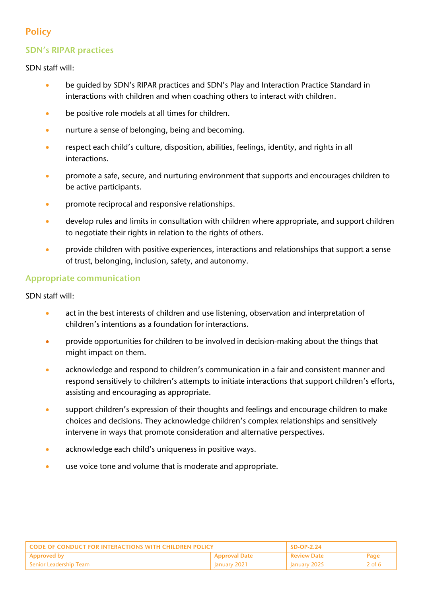# **Policy**

# SDN's RIPAR practices

SDN staff will:

- be guided by SDN's RIPAR practices and SDN's Play and Interaction Practice Standard in interactions with children and when coaching others to interact with children.
- be positive role models at all times for children.
- nurture a sense of belonging, being and becoming.
- respect each child's culture, disposition, abilities, feelings, identity, and rights in all interactions.
- promote a safe, secure, and nurturing environment that supports and encourages children to be active participants.
- promote reciprocal and responsive relationships.
- develop rules and limits in consultation with children where appropriate, and support children to negotiate their rights in relation to the rights of others.
- provide children with positive experiences, interactions and relationships that support a sense of trust, belonging, inclusion, safety, and autonomy.

## Appropriate communication

SDN staff will:

- act in the best interests of children and use listening, observation and interpretation of children's intentions as a foundation for interactions.
- provide opportunities for children to be involved in decision-making about the things that might impact on them.
- acknowledge and respond to children's communication in a fair and consistent manner and respond sensitively to children's attempts to initiate interactions that support children's efforts, assisting and encouraging as appropriate.
- support children's expression of their thoughts and feelings and encourage children to make choices and decisions. They acknowledge children's complex relationships and sensitively intervene in ways that promote consideration and alternative perspectives.
- acknowledge each child's uniqueness in positive ways.
- use voice tone and volume that is moderate and appropriate.

| <b>CODE OF CONDUCT FOR INTERACTIONS WITH CHILDREN POLICY</b> |                 | $SD-OP-2.24$         |          |
|--------------------------------------------------------------|-----------------|----------------------|----------|
| <b>Approved by</b>                                           | ' Approval Date | l Review Date        | Page     |
| Senior Leadership Team                                       | January 2021    | $\vert$ January 2025 | $2$ of 6 |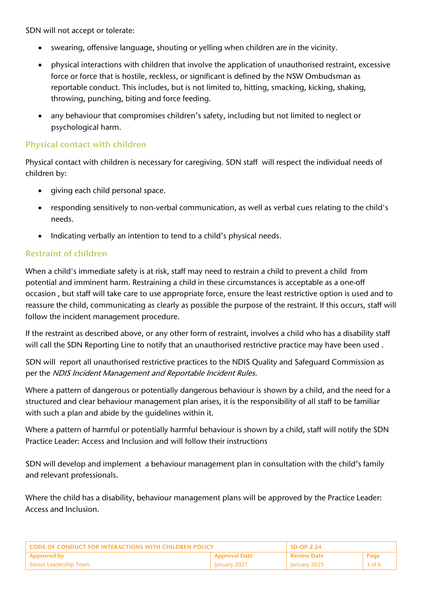SDN will not accept or tolerate:

- swearing, offensive language, shouting or yelling when children are in the vicinity.
- physical interactions with children that involve the application of unauthorised restraint, excessive force or force that is hostile, reckless, or significant is defined by the NSW Ombudsman as reportable conduct. This includes, but is not limited to, hitting, smacking, kicking, shaking, throwing, punching, biting and force feeding.
- any behaviour that compromises children's safety, including but not limited to neglect or psychological harm.

### Physical contact with children

Physical contact with children is necessary for caregiving. SDN staff will respect the individual needs of children by:

- giving each child personal space.
- responding sensitively to non-verbal communication, as well as verbal cues relating to the child's needs.
- Indicating verbally an intention to tend to a child's physical needs.

## Restraint of children

When a child's immediate safety is at risk, staff may need to restrain a child to prevent a child from potential and imminent harm. Restraining a child in these circumstances is acceptable as a one-off occasion , but staff will take care to use appropriate force, ensure the least restrictive option is used and to reassure the child, communicating as clearly as possible the purpose of the restraint. If this occurs, staff will follow the incident management procedure.

If the restraint as described above, or any other form of restraint, involves a child who has a disability staff will call the SDN Reporting Line to notify that an unauthorised restrictive practice may have been used .

SDN will report all unauthorised restrictive practices to the NDIS Quality and Safeguard Commission as per the NDIS Incident Management and Reportable Incident Rules.

Where a pattern of dangerous or potentially dangerous behaviour is shown by a child, and the need for a structured and clear behaviour management plan arises, it is the responsibility of all staff to be familiar with such a plan and abide by the guidelines within it.

Where a pattern of harmful or potentially harmful behaviour is shown by a child, staff will notify the SDN Practice Leader: Access and Inclusion and will follow their instructions

SDN will develop and implement a behaviour management plan in consultation with the child's family and relevant professionals.

Where the child has a disability, behaviour management plans will be approved by the Practice Leader: Access and Inclusion.

| L CODE OF CONDUCT FOR INTERACTIONS WITH CHILDREN POLICY. |                      | $\overline{SD}$ -OP-2.24 |        |
|----------------------------------------------------------|----------------------|--------------------------|--------|
| l Approved by                                            | <b>Approval Date</b> | . Review Date            | Page   |
| l Senior Leadershin Team-                                | January 2021         | January 2025             | 3 of 6 |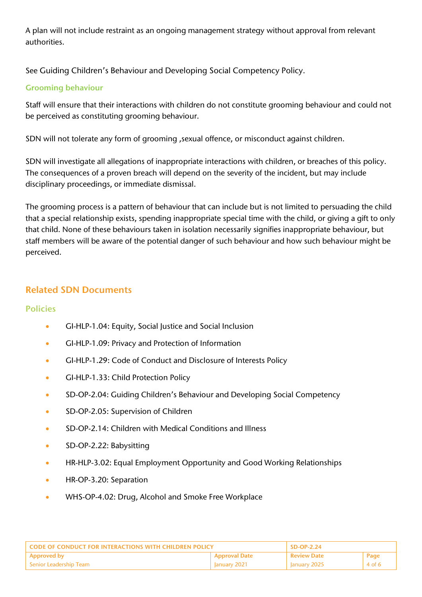A plan will not include restraint as an ongoing management strategy without approval from relevant authorities.

See Guiding Children's Behaviour and Developing Social Competency Policy.

### Grooming behaviour

Staff will ensure that their interactions with children do not constitute grooming behaviour and could not be perceived as constituting grooming behaviour.

SDN will not tolerate any form of grooming ,sexual offence, or misconduct against children.

SDN will investigate all allegations of inappropriate interactions with children, or breaches of this policy. The consequences of a proven breach will depend on the severity of the incident, but may include disciplinary proceedings, or immediate dismissal.

The grooming process is a pattern of behaviour that can include but is not limited to persuading the child that a special relationship exists, spending inappropriate special time with the child, or giving a gift to only that child. None of these behaviours taken in isolation necessarily signifies inappropriate behaviour, but staff members will be aware of the potential danger of such behaviour and how such behaviour might be perceived.

# Related SDN Documents

### Policies

- GI-HLP-1.04: Equity, Social Justice and Social Inclusion
- GI-HLP-1.09: Privacy and Protection of Information
- GI-HLP-1.29: Code of Conduct and Disclosure of Interests Policy
- GI-HLP-1.33: Child Protection Policy
- SD-OP-2.04: Guiding Children's Behaviour and Developing Social Competency
- SD-OP-2.05: Supervision of Children
- SD-OP-2.14: Children with Medical Conditions and Illness
- SD-OP-2.22: Babysitting
- HR-HLP-3.02: Equal Employment Opportunity and Good Working Relationships
- HR-OP-3.20: Separation
- WHS-OP-4.02: Drug, Alcohol and Smoke Free Workplace

| L CODE OF CONDUCT FOR INTERACTIONS WITH CHILDREN POLICY. |                      | $SD-OP-2.24$        |        |
|----------------------------------------------------------|----------------------|---------------------|--------|
| Approved by                                              | <b>Approval Date</b> | <b>Review Date</b>  | Page   |
| l Senior Leadership Team                                 | <b>January 2021</b>  | <b>January 2025</b> | 4 of 6 |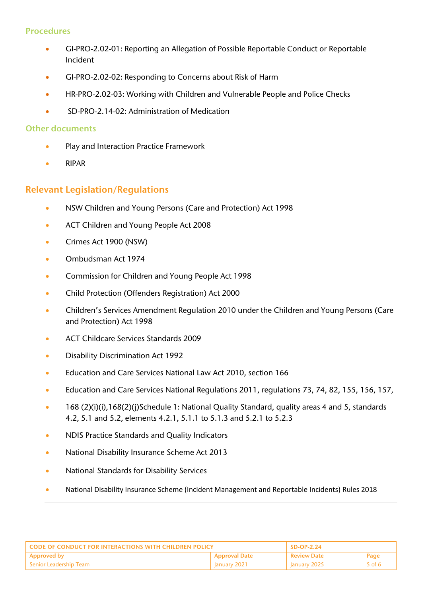#### Procedures

- GI-PRO-2.02-01: Reporting an Allegation of Possible Reportable Conduct or Reportable Incident
- GI-PRO-2.02-02: Responding to Concerns about Risk of Harm
- HR-PRO-2.02-03: Working with Children and Vulnerable People and Police Checks
- SD-PRO-2.14-02: Administration of Medication

#### Other documents

- Play and Interaction Practice Framework
- RIPAR

### Relevant Legislation/Regulations

- NSW Children and Young Persons (Care and Protection) Act 1998
- ACT Children and Young People Act 2008
- Crimes Act 1900 (NSW)
- Ombudsman Act 1974
- Commission for Children and Young People Act 1998
- Child Protection (Offenders Registration) Act 2000
- Children's Services Amendment Regulation 2010 under the Children and Young Persons (Care and Protection) Act 1998
- ACT Childcare Services Standards 2009
- Disability Discrimination Act 1992
- Education and Care Services National Law Act 2010, section 166
- Education and Care Services National Regulations 2011, regulations 73, 74, 82, 155, 156, 157,
- 168 (2)(i)(i),168(2)(j)Schedule 1: National Quality Standard, quality areas 4 and 5, standards 4.2, 5.1 and 5.2, elements 4.2.1, 5.1.1 to 5.1.3 and 5.2.1 to 5.2.3
- NDIS Practice Standards and Quality Indicators
- National Disability Insurance Scheme Act 2013
- National Standards for Disability Services
- National Disability Insurance Scheme (Incident Management and Reportable Incidents) Rules 2018

| <b>CODE OF CONDUCT FOR INTERACTIONS WITH CHILDREN POLICY</b> |                      | $SD-OP-2.24$             |          |
|--------------------------------------------------------------|----------------------|--------------------------|----------|
| <b>Approved by</b>                                           | <b>Approval Date</b> | <b>Review Date</b>       | Page     |
| - Senior Leadership Team                                     | January 2021         | $^{\prime}$ January 2025 | $5$ of 6 |